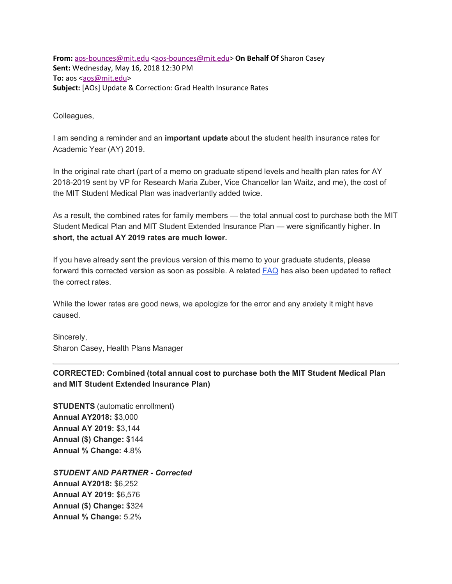**From:** aos-bounces@mit.edu <aos-bounces@mit.edu> **On Behalf Of** Sharon Casey **Sent:** Wednesday, May 16, 2018 12:30 PM **To:** aos <aos@mit.edu> **Subject:** [AOs] Update & Correction: Grad Health Insurance Rates

Colleagues,

I am sending a reminder and an **important update** about the student health insurance rates for Academic Year (AY) 2019.

In the original rate chart (part of a memo on graduate stipend levels and health plan rates for AY 2018-2019 sent by VP for Research Maria Zuber, Vice Chancellor Ian Waitz, and me), the cost of the MIT Student Medical Plan was inadvertantly added twice.

As a result, the combined rates for family members — the total annual cost to purchase both the MIT Student Medical Plan and MIT Student Extended Insurance Plan — were significantly higher. **In short, the actual AY 2019 rates are much lower.**

If you have already sent the previous version of this memo to your graduate students, please forward this corrected version as soon as possible. A related **FAQ** has also been updated to reflect the correct rates.

While the lower rates are good news, we apologize for the error and any anxiety it might have caused.

Sincerely, Sharon Casey, Health Plans Manager

## **CORRECTED: Combined (total annual cost to purchase both the MIT Student Medical Plan and MIT Student Extended Insurance Plan)**

**STUDENTS** (automatic enrollment) **Annual AY2018:** \$3,000 **Annual AY 2019:** \$3,144 **Annual (\$) Change:** \$144 **Annual % Change:** 4.8%

*STUDENT AND PARTNER - Corrected* **Annual AY2018:** \$6,252 **Annual AY 2019:** \$6,576 **Annual (\$) Change:** \$324 **Annual % Change:** 5.2%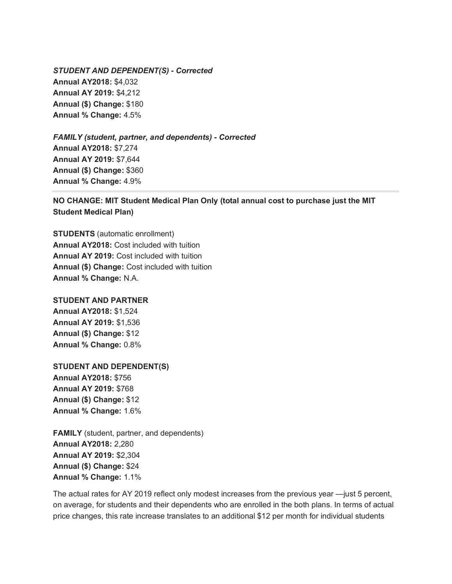*STUDENT AND DEPENDENT(S) - Corrected* **Annual AY2018:** \$4,032 **Annual AY 2019:** \$4,212 **Annual (\$) Change:** \$180 **Annual % Change:** 4.5%

*FAMILY (student, partner, and dependents) - Corrected* **Annual AY2018:** \$7,274 **Annual AY 2019:** \$7,644 **Annual (\$) Change:** \$360 **Annual % Change:** 4.9%

**NO CHANGE: MIT Student Medical Plan Only (total annual cost to purchase just the MIT Student Medical Plan)**

**STUDENTS** (automatic enrollment) **Annual AY2018:** Cost included with tuition **Annual AY 2019:** Cost included with tuition **Annual (\$) Change:** Cost included with tuition **Annual % Change:** N.A.

## **STUDENT AND PARTNER**

**Annual AY2018:** \$1,524 **Annual AY 2019:** \$1,536 **Annual (\$) Change:** \$12 **Annual % Change:** 0.8%

## **STUDENT AND DEPENDENT(S)**

**Annual AY2018:** \$756 **Annual AY 2019:** \$768 **Annual (\$) Change:** \$12 **Annual % Change:** 1.6%

**FAMILY** (student, partner, and dependents) **Annual AY2018:** 2,280 **Annual AY 2019:** \$2,304 **Annual (\$) Change:** \$24 **Annual % Change:** 1.1%

The actual rates for AY 2019 reflect only modest increases from the previous year —just 5 percent, on average, for students and their dependents who are enrolled in the both plans. In terms of actual price changes, this rate increase translates to an additional \$12 per month for individual students